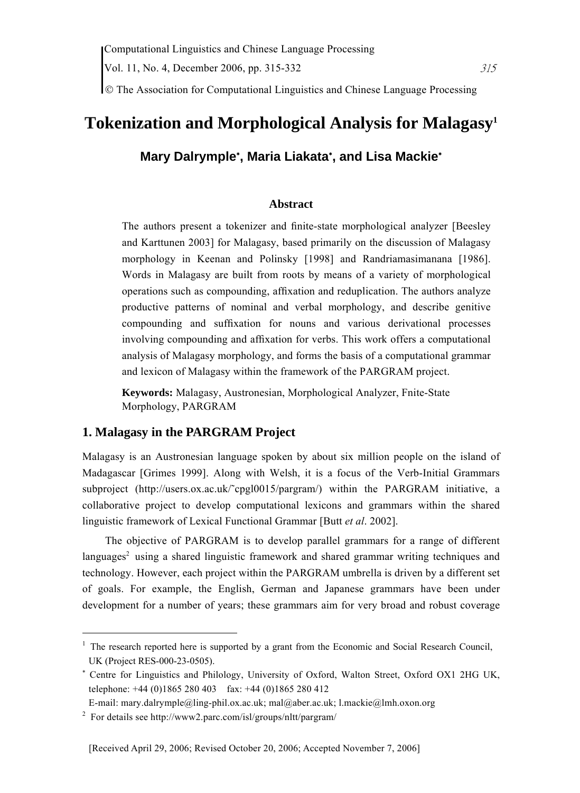Vol. 11, No. 4, December 2006, pp. 315-332  $315$ 

© The Association for Computational Linguistics and Chinese Language Processing

# **Tokenization and Morphological Analysis for Malagasy1**

## **Mary Dalrymple**<sup>∗</sup> **, Maria Liakata**<sup>∗</sup> **, and Lisa Mackie**<sup>∗</sup>

## **Abstract**

The authors present a tokenizer and finite-state morphological analyzer [Beesley and Karttunen 2003] for Malagasy, based primarily on the discussion of Malagasy morphology in Keenan and Polinsky [1998] and Randriamasimanana [1986]. Words in Malagasy are built from roots by means of a variety of morphological operations such as compounding, affixation and reduplication. The authors analyze productive patterns of nominal and verbal morphology, and describe genitive compounding and suffixation for nouns and various derivational processes involving compounding and affixation for verbs. This work offers a computational analysis of Malagasy morphology, and forms the basis of a computational grammar and lexicon of Malagasy within the framework of the PARGRAM project.

**Keywords:** Malagasy, Austronesian, Morphological Analyzer, Fnite-State Morphology, PARGRAM

## **1. Malagasy in the PARGRAM Project**

Malagasy is an Austronesian language spoken by about six million people on the island of Madagascar [Grimes 1999]. Along with Welsh, it is a focus of the Verb-Initial Grammars subproject (http://users.ox.ac.uk/~cpgl0015/pargram/) within the PARGRAM initiative, a collaborative project to develop computational lexicons and grammars within the shared linguistic framework of Lexical Functional Grammar [Butt *et al*. 2002].

The objective of PARGRAM is to develop parallel grammars for a range of different languages<sup>2</sup> using a shared linguistic framework and shared grammar writing techniques and technology. However, each project within the PARGRAM umbrella is driven by a different set of goals. For example, the English, German and Japanese grammars have been under development for a number of years; these grammars aim for very broad and robust coverage

 $\overline{a}$ 

<sup>&</sup>lt;sup>1</sup> The research reported here is supported by a grant from the Economic and Social Research Council, UK (Project RES-000-23-0505).

<sup>∗</sup> Centre for Linguistics and Philology, University of Oxford, Walton Street, Oxford OX1 2HG UK, telephone:  $+44$  (0)1865 280 403 fax:  $+44$  (0)1865 280 412

E-mail: mary.dalrymple@ling-phil.ox.ac.uk; mal@aber.ac.uk; l.mackie@lmh.oxon.org 2

For details see http://www2.parc.com/isl/groups/nltt/pargram/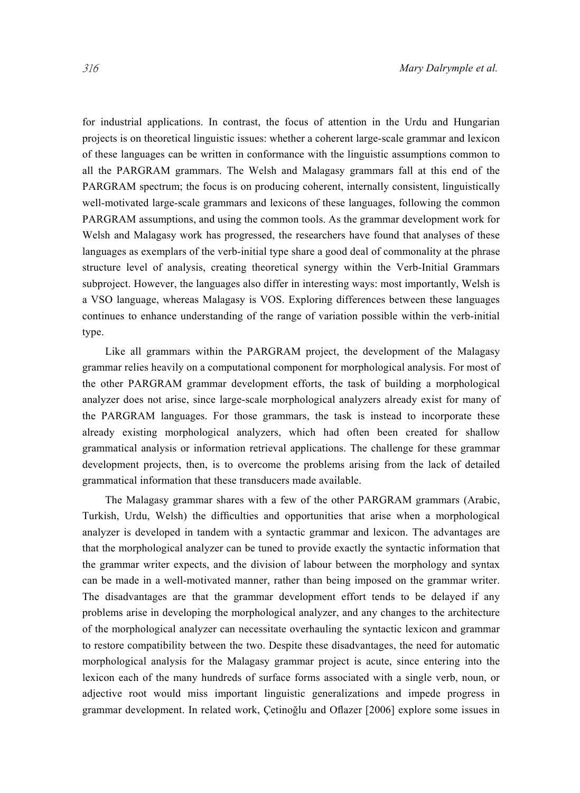for industrial applications. In contrast, the focus of attention in the Urdu and Hungarian projects is on theoretical linguistic issues: whether a coherent large-scale grammar and lexicon of these languages can be written in conformance with the linguistic assumptions common to all the PARGRAM grammars. The Welsh and Malagasy grammars fall at this end of the PARGRAM spectrum; the focus is on producing coherent, internally consistent, linguistically well-motivated large-scale grammars and lexicons of these languages, following the common PARGRAM assumptions, and using the common tools. As the grammar development work for Welsh and Malagasy work has progressed, the researchers have found that analyses of these languages as exemplars of the verb-initial type share a good deal of commonality at the phrase structure level of analysis, creating theoretical synergy within the Verb-Initial Grammars subproject. However, the languages also differ in interesting ways: most importantly, Welsh is a VSO language, whereas Malagasy is VOS. Exploring differences between these languages continues to enhance understanding of the range of variation possible within the verb-initial type.

Like all grammars within the PARGRAM project, the development of the Malagasy grammar relies heavily on a computational component for morphological analysis. For most of the other PARGRAM grammar development efforts, the task of building a morphological analyzer does not arise, since large-scale morphological analyzers already exist for many of the PARGRAM languages. For those grammars, the task is instead to incorporate these already existing morphological analyzers, which had often been created for shallow grammatical analysis or information retrieval applications. The challenge for these grammar development projects, then, is to overcome the problems arising from the lack of detailed grammatical information that these transducers made available.

The Malagasy grammar shares with a few of the other PARGRAM grammars (Arabic, Turkish, Urdu, Welsh) the difficulties and opportunities that arise when a morphological analyzer is developed in tandem with a syntactic grammar and lexicon. The advantages are that the morphological analyzer can be tuned to provide exactly the syntactic information that the grammar writer expects, and the division of labour between the morphology and syntax can be made in a well-motivated manner, rather than being imposed on the grammar writer. The disadvantages are that the grammar development effort tends to be delayed if any problems arise in developing the morphological analyzer, and any changes to the architecture of the morphological analyzer can necessitate overhauling the syntactic lexicon and grammar to restore compatibility between the two. Despite these disadvantages, the need for automatic morphological analysis for the Malagasy grammar project is acute, since entering into the lexicon each of the many hundreds of surface forms associated with a single verb, noun, or adjective root would miss important linguistic generalizations and impede progress in grammar development. In related work, Çetinoğlu and Oflazer [2006] explore some issues in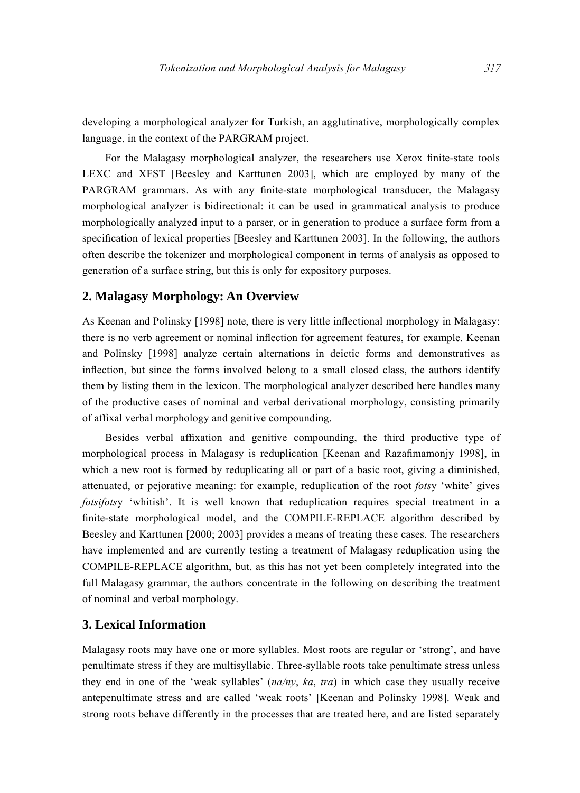developing a morphological analyzer for Turkish, an agglutinative, morphologically complex language, in the context of the PARGRAM project.

For the Malagasy morphological analyzer, the researchers use Xerox finite-state tools LEXC and XFST [Beesley and Karttunen 2003], which are employed by many of the PARGRAM grammars. As with any finite-state morphological transducer, the Malagasy morphological analyzer is bidirectional: it can be used in grammatical analysis to produce morphologically analyzed input to a parser, or in generation to produce a surface form from a specification of lexical properties [Beesley and Karttunen 2003]. In the following, the authors often describe the tokenizer and morphological component in terms of analysis as opposed to generation of a surface string, but this is only for expository purposes.

#### **2. Malagasy Morphology: An Overview**

As Keenan and Polinsky [1998] note, there is very little inflectional morphology in Malagasy: there is no verb agreement or nominal inflection for agreement features, for example. Keenan and Polinsky [1998] analyze certain alternations in deictic forms and demonstratives as inflection, but since the forms involved belong to a small closed class, the authors identify them by listing them in the lexicon. The morphological analyzer described here handles many of the productive cases of nominal and verbal derivational morphology, consisting primarily of affixal verbal morphology and genitive compounding.

Besides verbal affixation and genitive compounding, the third productive type of morphological process in Malagasy is reduplication [Keenan and Razafimamonjy 1998], in which a new root is formed by reduplicating all or part of a basic root, giving a diminished, attenuated, or pejorative meaning: for example, reduplication of the root *fots*y 'white' gives *fotsifots*y 'whitish'. It is well known that reduplication requires special treatment in a finite-state morphological model, and the COMPILE-REPLACE algorithm described by Beesley and Karttunen [2000; 2003] provides a means of treating these cases. The researchers have implemented and are currently testing a treatment of Malagasy reduplication using the COMPILE-REPLACE algorithm, but, as this has not yet been completely integrated into the full Malagasy grammar, the authors concentrate in the following on describing the treatment of nominal and verbal morphology.

## **3. Lexical Information**

Malagasy roots may have one or more syllables. Most roots are regular or 'strong', and have penultimate stress if they are multisyllabic. Three-syllable roots take penultimate stress unless they end in one of the 'weak syllables' (*na/ny*, *ka*, *tra*) in which case they usually receive antepenultimate stress and are called 'weak roots' [Keenan and Polinsky 1998]. Weak and strong roots behave differently in the processes that are treated here, and are listed separately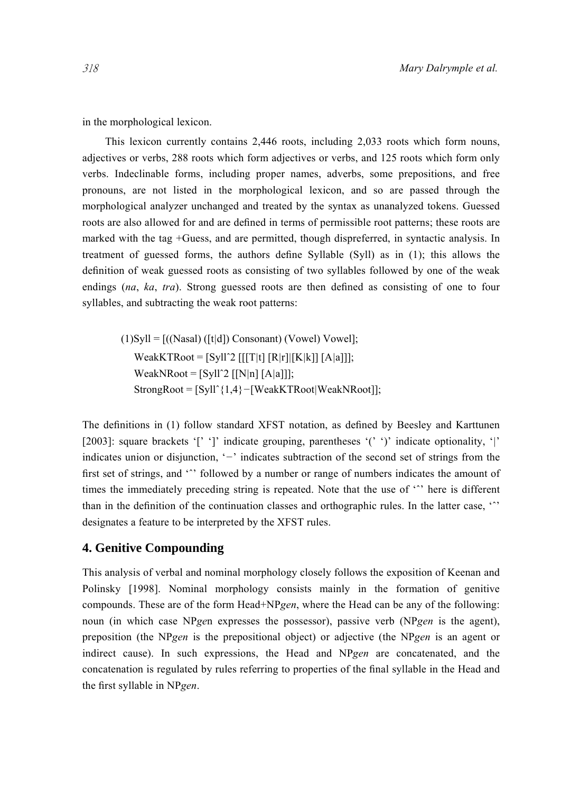in the morphological lexicon.

This lexicon currently contains 2,446 roots, including 2,033 roots which form nouns, adjectives or verbs, 288 roots which form adjectives or verbs, and 125 roots which form only verbs. Indeclinable forms, including proper names, adverbs, some prepositions, and free pronouns, are not listed in the morphological lexicon, and so are passed through the morphological analyzer unchanged and treated by the syntax as unanalyzed tokens. Guessed roots are also allowed for and are defined in terms of permissible root patterns; these roots are marked with the tag +Guess, and are permitted, though dispreferred, in syntactic analysis. In treatment of guessed forms, the authors define Syllable (Syll) as in (1); this allows the definition of weak guessed roots as consisting of two syllables followed by one of the weak endings (*na*, *ka*, *tra*). Strong guessed roots are then defined as consisting of one to four syllables, and subtracting the weak root patterns:

(1)Syll = [((Nasal) ([t*|*d]) Consonant) (Vowel) Vowel]; WeakKTRoot = [Syllˆ2 [[[T*|*t] [R*|*r]*|*[K*|*k]] [A*|*a]]]; WeakNRoot = [Syllˆ2 [[N*|*n] [A*|*a]]]; StrongRoot = [Syllˆ{1,4}*−*[WeakKTRoot*|*WeakNRoot]];

The definitions in (1) follow standard XFST notation, as defined by Beesley and Karttunen [2003]: square brackets '[' ']' indicate grouping, parentheses '(' ')' indicate optionality, '*|*' indicates union or disjunction, '*−*' indicates subtraction of the second set of strings from the first set of strings, and " followed by a number or range of numbers indicates the amount of times the immediately preceding string is repeated. Note that the use of " here is different than in the definition of the continuation classes and orthographic rules. In the latter case, 'ˆ' designates a feature to be interpreted by the XFST rules.

#### **4. Genitive Compounding**

This analysis of verbal and nominal morphology closely follows the exposition of Keenan and Polinsky [1998]. Nominal morphology consists mainly in the formation of genitive compounds. These are of the form Head+NP*gen*, where the Head can be any of the following: noun (in which case NP*ge*n expresses the possessor), passive verb (NP*gen* is the agent), preposition (the NP*gen* is the prepositional object) or adjective (the NP*gen* is an agent or indirect cause). In such expressions, the Head and NP*gen* are concatenated, and the concatenation is regulated by rules referring to properties of the final syllable in the Head and the first syllable in NP*gen*.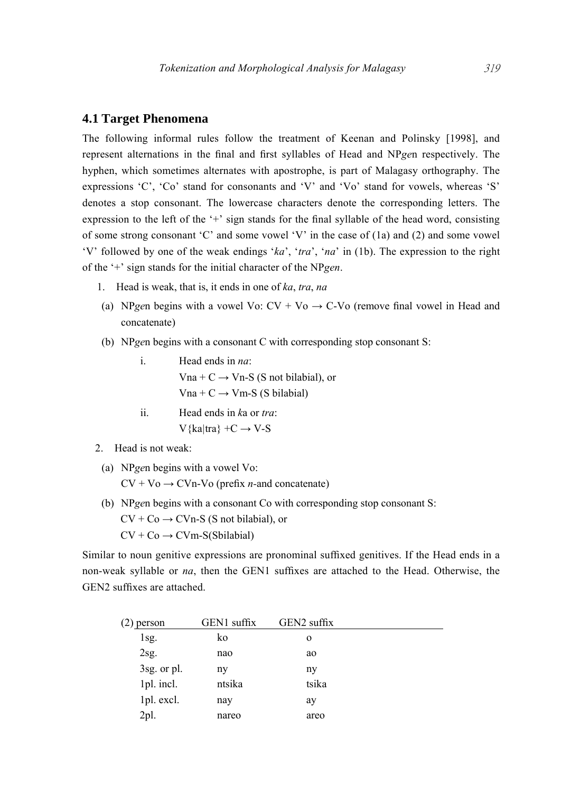## **4.1 Target Phenomena**

The following informal rules follow the treatment of Keenan and Polinsky [1998], and represent alternations in the final and first syllables of Head and NP*ge*n respectively. The hyphen, which sometimes alternates with apostrophe, is part of Malagasy orthography. The expressions 'C', 'Co' stand for consonants and 'V' and 'Vo' stand for vowels, whereas 'S' denotes a stop consonant. The lowercase characters denote the corresponding letters. The expression to the left of the  $+$  sign stands for the final syllable of the head word, consisting of some strong consonant 'C' and some vowel 'V' in the case of (1a) and (2) and some vowel 'V' followed by one of the weak endings '*ka*', '*tra*', '*na*' in (1b). The expression to the right of the '+' sign stands for the initial character of the NP*gen*.

- 1. Head is weak, that is, it ends in one of *ka*, *tra*, *na*
- (a) NP<sub>gen</sub> begins with a vowel Vo:  $CV + Vo \rightarrow C$ -Vo (remove final vowel in Head and concatenate)
- (b) NP*ge*n begins with a consonant C with corresponding stop consonant S:
	- i. Head ends in *na*: Vna +  $C \rightarrow$  Vn-S (S not bilabial), or  $Vna + C \rightarrow Vm-S$  (S bilabial)
		- ii. Head ends in *k*a or *tra*: V{ka*|*tra} +C → V-S
- 2. Head is not weak:
- (a) NP*ge*n begins with a vowel Vo: CV + Vo → CVn-Vo (prefix *n-*and concatenate)
- (b) NP*ge*n begins with a consonant Co with corresponding stop consonant S:  $CV + Co \rightarrow CVn-S$  (S not bilabial), or  $CV + Co \rightarrow CVm-S(Sbilabial)$

Similar to noun genitive expressions are pronominal suffixed genitives. If the Head ends in a non-weak syllable or *na*, then the GEN1 suffixes are attached to the Head. Otherwise, the GEN2 suffixes are attached.

| person      | GEN1 suffix | GEN2 suffix |  |
|-------------|-------------|-------------|--|
| 1sg.        | ko          | $\Omega$    |  |
| 2sg.        | nao         | ao          |  |
| 3sg. or pl. | ny          | ny          |  |
| 1pl. incl.  | ntsika      | tsika       |  |
| 1pl. excl.  | nay         | ay          |  |
| 2pl.        | nareo       | areo        |  |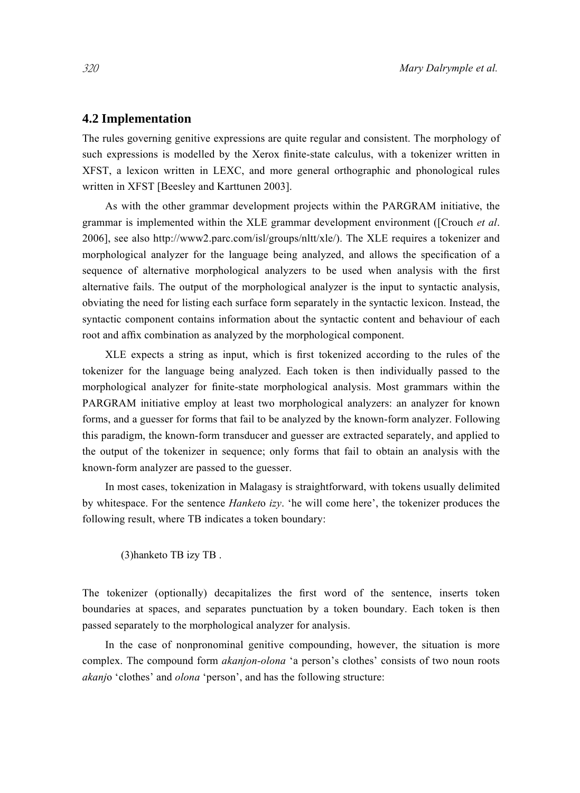## **4.2 Implementation**

The rules governing genitive expressions are quite regular and consistent. The morphology of such expressions is modelled by the Xerox finite-state calculus, with a tokenizer written in XFST, a lexicon written in LEXC, and more general orthographic and phonological rules written in XFST [Beesley and Karttunen 2003].

As with the other grammar development projects within the PARGRAM initiative, the grammar is implemented within the XLE grammar development environment ([Crouch *et al*. 2006], see also http://www2.parc.com/isl/groups/nltt/xle/). The XLE requires a tokenizer and morphological analyzer for the language being analyzed, and allows the specification of a sequence of alternative morphological analyzers to be used when analysis with the first alternative fails. The output of the morphological analyzer is the input to syntactic analysis, obviating the need for listing each surface form separately in the syntactic lexicon. Instead, the syntactic component contains information about the syntactic content and behaviour of each root and affix combination as analyzed by the morphological component.

XLE expects a string as input, which is first tokenized according to the rules of the tokenizer for the language being analyzed. Each token is then individually passed to the morphological analyzer for finite-state morphological analysis. Most grammars within the PARGRAM initiative employ at least two morphological analyzers: an analyzer for known forms, and a guesser for forms that fail to be analyzed by the known-form analyzer. Following this paradigm, the known-form transducer and guesser are extracted separately, and applied to the output of the tokenizer in sequence; only forms that fail to obtain an analysis with the known-form analyzer are passed to the guesser.

In most cases, tokenization in Malagasy is straightforward, with tokens usually delimited by whitespace. For the sentence *Hanket*o *izy*. 'he will come here', the tokenizer produces the following result, where TB indicates a token boundary:

(3)hanketo TB izy TB .

The tokenizer (optionally) decapitalizes the first word of the sentence, inserts token boundaries at spaces, and separates punctuation by a token boundary. Each token is then passed separately to the morphological analyzer for analysis.

In the case of nonpronominal genitive compounding, however, the situation is more complex. The compound form *akanjon-olona* 'a person's clothes' consists of two noun roots *akanj*o 'clothes' and *olona* 'person', and has the following structure: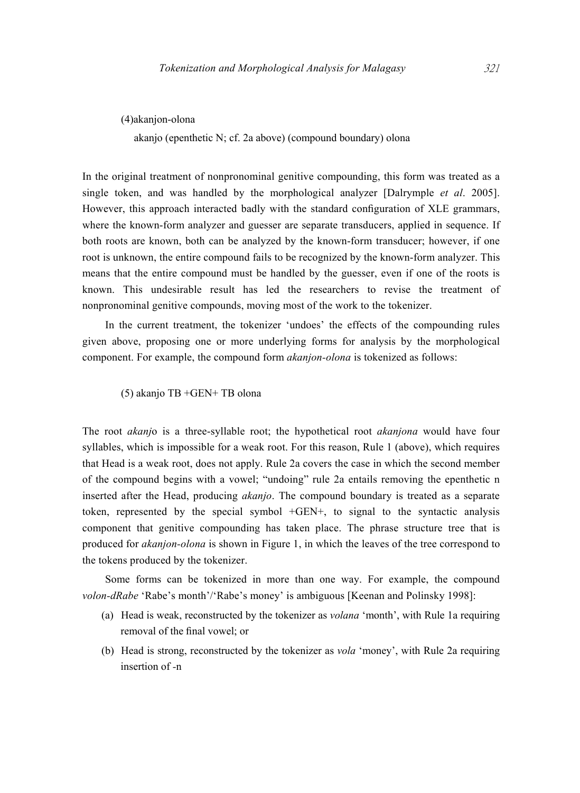(4)akanjon-olona

akanjo (epenthetic N; cf. 2a above) (compound boundary) olona

In the original treatment of nonpronominal genitive compounding, this form was treated as a single token, and was handled by the morphological analyzer [Dalrymple *et al*. 2005]. However, this approach interacted badly with the standard configuration of XLE grammars, where the known-form analyzer and guesser are separate transducers, applied in sequence. If both roots are known, both can be analyzed by the known-form transducer; however, if one root is unknown, the entire compound fails to be recognized by the known-form analyzer. This means that the entire compound must be handled by the guesser, even if one of the roots is known. This undesirable result has led the researchers to revise the treatment of nonpronominal genitive compounds, moving most of the work to the tokenizer.

In the current treatment, the tokenizer 'undoes' the effects of the compounding rules given above, proposing one or more underlying forms for analysis by the morphological component. For example, the compound form *akanjon-olona* is tokenized as follows:

(5) akanjo TB +GEN+ TB olona

The root *akanj*o is a three-syllable root; the hypothetical root *akanjona* would have four syllables, which is impossible for a weak root. For this reason, Rule 1 (above), which requires that Head is a weak root, does not apply. Rule 2a covers the case in which the second member of the compound begins with a vowel; "undoing" rule 2a entails removing the epenthetic n inserted after the Head, producing *akanjo*. The compound boundary is treated as a separate token, represented by the special symbol +GEN+, to signal to the syntactic analysis component that genitive compounding has taken place. The phrase structure tree that is produced for *akanjon-olona* is shown in Figure 1, in which the leaves of the tree correspond to the tokens produced by the tokenizer.

Some forms can be tokenized in more than one way. For example, the compound *volon-dRabe* 'Rabe's month'/'Rabe's money' is ambiguous [Keenan and Polinsky 1998]:

- (a) Head is weak, reconstructed by the tokenizer as *volana* 'month', with Rule 1a requiring removal of the final vowel; or
- (b) Head is strong, reconstructed by the tokenizer as *vola* 'money', with Rule 2a requiring insertion of *-*n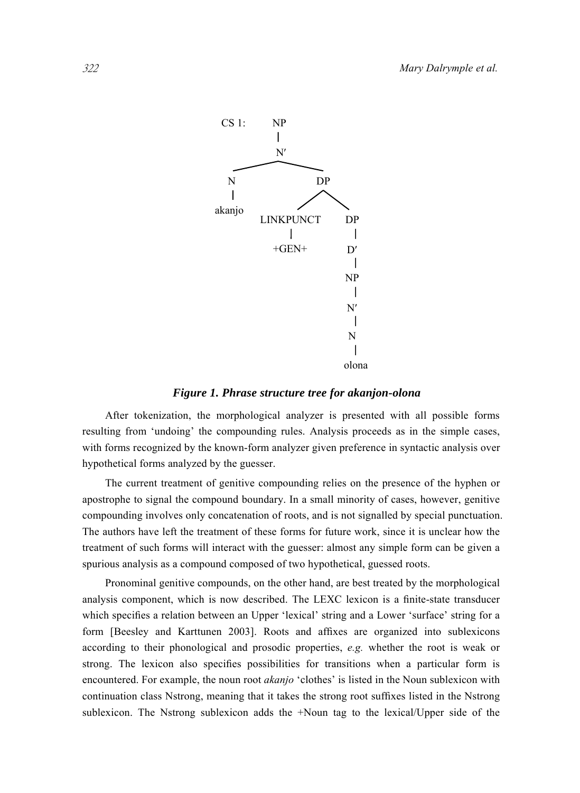

#### *Figure 1. Phrase structure tree for akanjon-olona*

After tokenization, the morphological analyzer is presented with all possible forms resulting from 'undoing' the compounding rules. Analysis proceeds as in the simple cases, with forms recognized by the known-form analyzer given preference in syntactic analysis over hypothetical forms analyzed by the guesser.

The current treatment of genitive compounding relies on the presence of the hyphen or apostrophe to signal the compound boundary. In a small minority of cases, however, genitive compounding involves only concatenation of roots, and is not signalled by special punctuation. The authors have left the treatment of these forms for future work, since it is unclear how the treatment of such forms will interact with the guesser: almost any simple form can be given a spurious analysis as a compound composed of two hypothetical, guessed roots.

Pronominal genitive compounds, on the other hand, are best treated by the morphological analysis component, which is now described. The LEXC lexicon is a finite-state transducer which specifies a relation between an Upper 'lexical' string and a Lower 'surface' string for a form [Beesley and Karttunen 2003]. Roots and affixes are organized into sublexicons according to their phonological and prosodic properties, *e.g.* whether the root is weak or strong. The lexicon also specifies possibilities for transitions when a particular form is encountered. For example, the noun root *akanjo* 'clothes' is listed in the Noun sublexicon with continuation class Nstrong, meaning that it takes the strong root suffixes listed in the Nstrong sublexicon. The Nstrong sublexicon adds the +Noun tag to the lexical/Upper side of the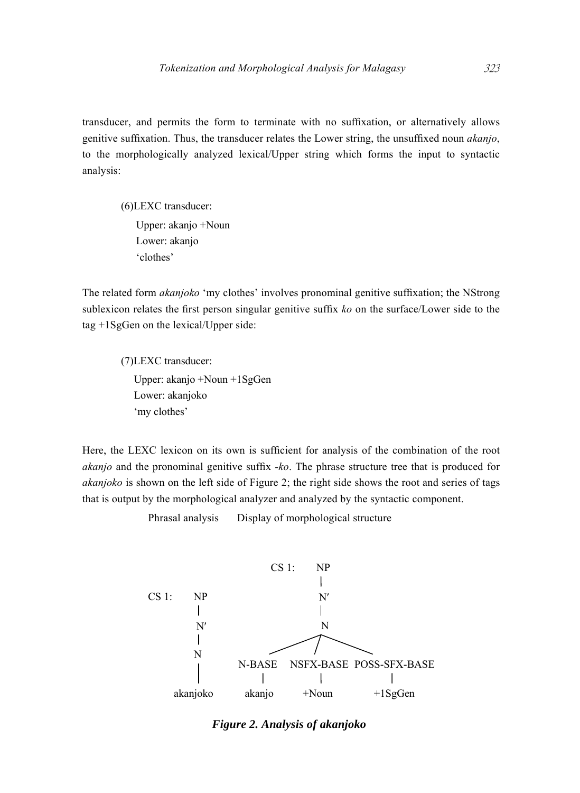transducer, and permits the form to terminate with no suffixation, or alternatively allows genitive suffixation. Thus, the transducer relates the Lower string, the unsuffixed noun *akanjo*, to the morphologically analyzed lexical/Upper string which forms the input to syntactic analysis:

(6)LEXC transducer: Upper: akanjo +Noun Lower: akanjo 'clothes'

The related form *akanjoko* 'my clothes' involves pronominal genitive suffixation; the NStrong sublexicon relates the first person singular genitive suffix *ko* on the surface/Lower side to the tag +1SgGen on the lexical/Upper side:

(7)LEXC transducer: Upper: akanjo +Noun +1SgGen Lower: akanjoko 'my clothes'

Here, the LEXC lexicon on its own is sufficient for analysis of the combination of the root *akanjo* and the pronominal genitive suffix *-ko*. The phrase structure tree that is produced for *akanjoko* is shown on the left side of Figure 2; the right side shows the root and series of tags that is output by the morphological analyzer and analyzed by the syntactic component.

Phrasal analysis Display of morphological structure



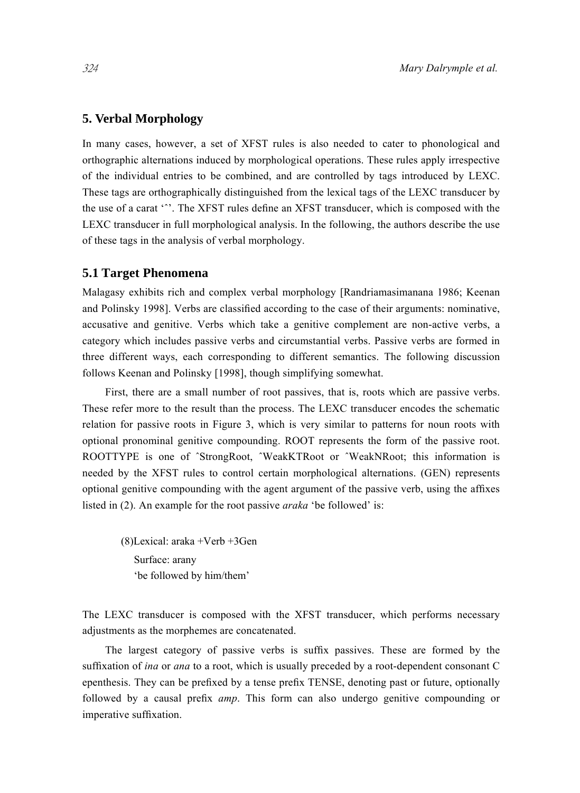## **5. Verbal Morphology**

In many cases, however, a set of XFST rules is also needed to cater to phonological and orthographic alternations induced by morphological operations. These rules apply irrespective of the individual entries to be combined, and are controlled by tags introduced by LEXC. These tags are orthographically distinguished from the lexical tags of the LEXC transducer by the use of a carat 'ˆ'. The XFST rules define an XFST transducer, which is composed with the LEXC transducer in full morphological analysis. In the following, the authors describe the use of these tags in the analysis of verbal morphology.

#### **5.1 Target Phenomena**

Malagasy exhibits rich and complex verbal morphology [Randriamasimanana 1986; Keenan and Polinsky 1998]. Verbs are classified according to the case of their arguments: nominative, accusative and genitive. Verbs which take a genitive complement are non-active verbs, a category which includes passive verbs and circumstantial verbs. Passive verbs are formed in three different ways, each corresponding to different semantics. The following discussion follows Keenan and Polinsky [1998], though simplifying somewhat.

First, there are a small number of root passives, that is, roots which are passive verbs. These refer more to the result than the process. The LEXC transducer encodes the schematic relation for passive roots in Figure 3, which is very similar to patterns for noun roots with optional pronominal genitive compounding. ROOT represents the form of the passive root. ROOTTYPE is one of ˆStrongRoot, ˆWeakKTRoot or ˆWeakNRoot; this information is needed by the XFST rules to control certain morphological alternations. (GEN) represents optional genitive compounding with the agent argument of the passive verb, using the affixes listed in (2). An example for the root passive *araka* 'be followed' is:

(8)Lexical: araka +Verb +3Gen Surface: arany 'be followed by him/them'

The LEXC transducer is composed with the XFST transducer, which performs necessary adjustments as the morphemes are concatenated.

The largest category of passive verbs is suffix passives. These are formed by the suffixation of *ina* or *ana* to a root, which is usually preceded by a root-dependent consonant C epenthesis. They can be prefixed by a tense prefix TENSE, denoting past or future, optionally followed by a causal prefix *amp*. This form can also undergo genitive compounding or imperative suffixation.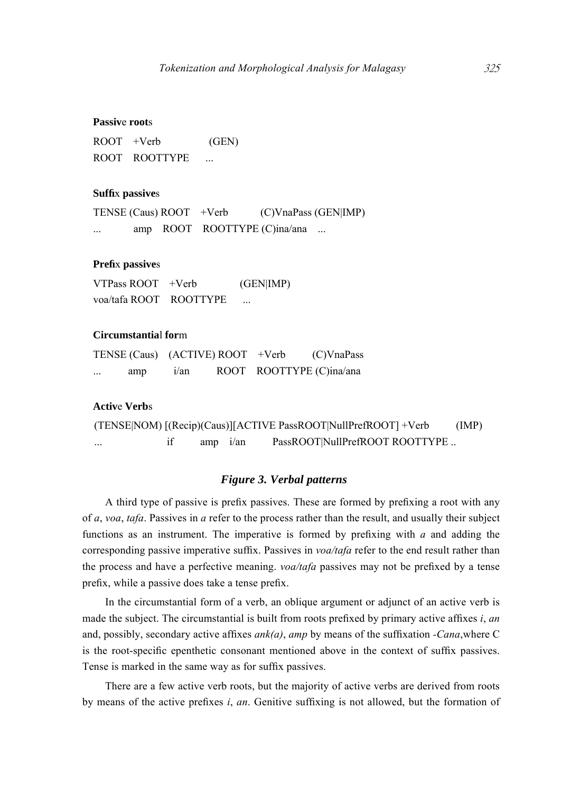#### **Passiv**e **root**s

ROOT +Verb (GEN) ROOT ROOTTYPE ...

#### **Suffi**x **passive**s

TENSE (Caus) ROOT +Verb (C)VnaPass (GEN|IMP) ... amp ROOT ROOTTYPE (C)ina/ana ...

#### **Prefi**x **passive**s

VTPass ROOT +Verb (GEN|IMP) voa/tafa ROOT ROOTTYPE ...

#### **Circumstantia**l **for**m

|         |         | TENSE (Caus) (ACTIVE) ROOT +Verb | (C)VnaPass               |
|---------|---------|----------------------------------|--------------------------|
| <br>amp | $i$ /an |                                  | ROOT ROOTTYPE (C)ina/ana |

#### **Activ**e **Verb**s

```
(TENSE|NOM) [(Recip)(Caus)][ACTIVE PassROOT|NullPrefROOT] +Verb (IMP) 
... if amp i/an PassROOT|NullPrefROOT ROOTTYPE ...
```
#### *Figure 3. Verbal patterns*

A third type of passive is prefix passives. These are formed by prefixing a root with any of *a*, *voa*, *tafa*. Passives in *a* refer to the process rather than the result, and usually their subject functions as an instrument. The imperative is formed by prefixing with *a* and adding the corresponding passive imperative suffix. Passives in *voa/tafa* refer to the end result rather than the process and have a perfective meaning. *voa/tafa* passives may not be prefixed by a tense prefix, while a passive does take a tense prefix.

In the circumstantial form of a verb, an oblique argument or adjunct of an active verb is made the subject. The circumstantial is built from roots prefixed by primary active affixes *i*, *an* and, possibly, secondary active affixes *ank(a)*, *amp* by means of the suffixation *-Cana*,where C is the root-specific epenthetic consonant mentioned above in the context of suffix passives. Tense is marked in the same way as for suffix passives.

There are a few active verb roots, but the majority of active verbs are derived from roots by means of the active prefixes *i*, *an*. Genitive suffixing is not allowed, but the formation of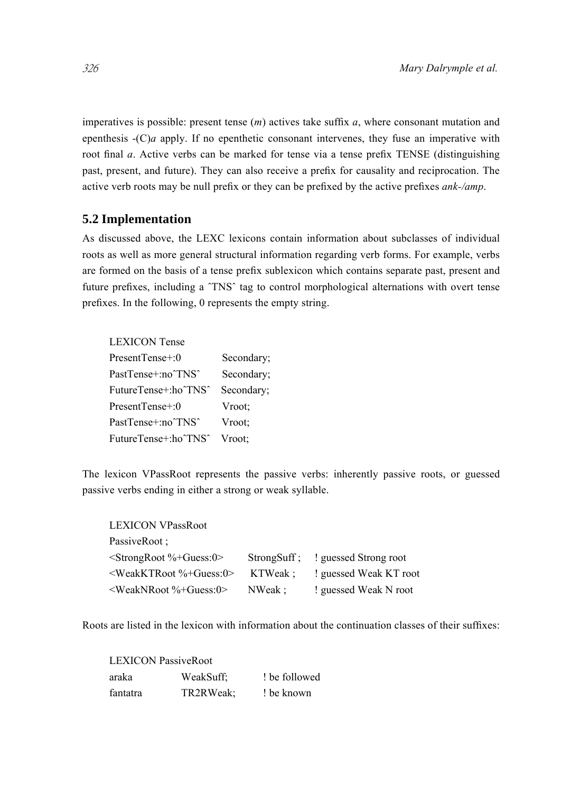imperatives is possible: present tense (*m*) actives take suffix *a*, where consonant mutation and epenthesis -(C)*a* apply. If no epenthetic consonant intervenes, they fuse an imperative with root final *a*. Active verbs can be marked for tense via a tense prefix TENSE (distinguishing past, present, and future). They can also receive a prefix for causality and reciprocation. The active verb roots may be null prefix or they can be prefixed by the active prefixes *ank-/amp*.

## **5.2 Implementation**

As discussed above, the LEXC lexicons contain information about subclasses of individual roots as well as more general structural information regarding verb forms. For example, verbs are formed on the basis of a tense prefix sublexicon which contains separate past, present and future prefixes, including a ˆTNSˆ tag to control morphological alternations with overt tense prefixes. In the following, 0 represents the empty string.

| <b>LEXICON Tense</b> |            |
|----------------------|------------|
| PresentTense+:0      | Secondary; |
| PastTense+:no^TNS^   | Secondary: |
| FutureTense+:ho^TNS^ | Secondary; |
| PresentTense+:0      | Vroot:     |
| PastTense+:no^TNS^   | Vroot:     |
| FutureTense+:ho^TNS^ | Vroot:     |

The lexicon VPassRoot represents the passive verbs: inherently passive roots, or guessed passive verbs ending in either a strong or weak syllable.

| <b>LEXICON VPassRoot</b>                    |         |                                   |
|---------------------------------------------|---------|-----------------------------------|
| PassiveRoot;                                |         |                                   |
| $\le$ StrongRoot %+Guess:0>                 |         | StrongSuff: ! guessed Strong root |
| <weakktroot%+guess:0></weakktroot%+guess:0> | KTWeak: | ! guessed Weak KT root            |
| <weaknroot%+guess:0></weaknroot%+guess:0>   | NWeak:  | ! guessed Weak N root             |

Roots are listed in the lexicon with information about the continuation classes of their suffixes:

| <b>LEXICON PassiveRoot</b> |           |               |  |
|----------------------------|-----------|---------------|--|
| araka                      | WeakSuff; | t be followed |  |
| fantatra                   | TR2RWeak: | ! be known    |  |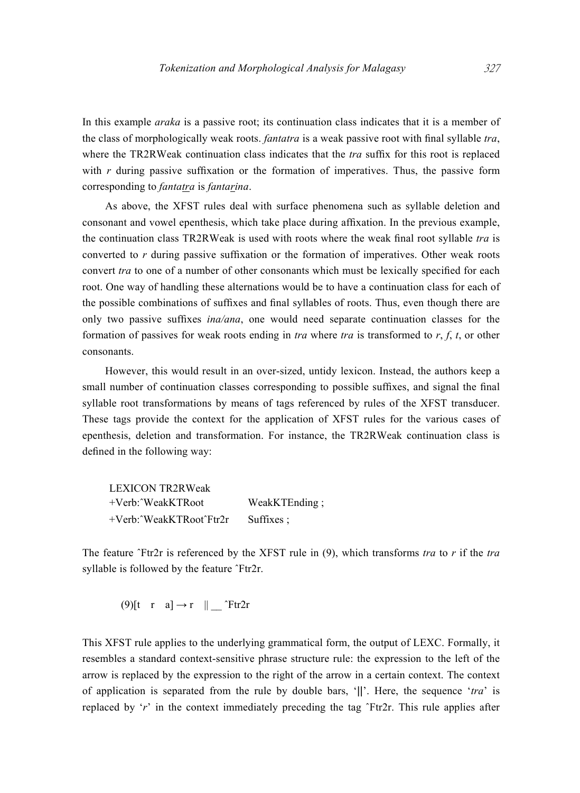In this example *araka* is a passive root; its continuation class indicates that it is a member of the class of morphologically weak roots. *fantatra* is a weak passive root with final syllable *tra*, where the TR2RWeak continuation class indicates that the *tra* suffix for this root is replaced with *r* during passive suffixation or the formation of imperatives. Thus, the passive form corresponding to *fantatra* is *fantarina*.

As above, the XFST rules deal with surface phenomena such as syllable deletion and consonant and vowel epenthesis, which take place during affixation. In the previous example, the continuation class TR2RWeak is used with roots where the weak final root syllable *tra* is converted to *r* during passive suffixation or the formation of imperatives. Other weak roots convert *tra* to one of a number of other consonants which must be lexically specified for each root. One way of handling these alternations would be to have a continuation class for each of the possible combinations of suffixes and final syllables of roots. Thus, even though there are only two passive suffixes *ina/ana*, one would need separate continuation classes for the formation of passives for weak roots ending in *tra* where *tra* is transformed to *r*, *f*, *t*, or other consonants.

However, this would result in an over-sized, untidy lexicon. Instead, the authors keep a small number of continuation classes corresponding to possible suffixes, and signal the final syllable root transformations by means of tags referenced by rules of the XFST transducer. These tags provide the context for the application of XFST rules for the various cases of epenthesis, deletion and transformation. For instance, the TR2RWeak continuation class is defined in the following way:

| <b>LEXICON TR2RWeak</b>       |                   |
|-------------------------------|-------------------|
| $+$ Verb: $\gamma$ WeakKTRoot | WeakKTEnding;     |
| +Verb: 'WeakKTRoot'Ftr2r      | Suffixes $\ddots$ |

The feature ˆFtr2r is referenced by the XFST rule in (9), which transforms *tra* to *r* if the *tra* syllable is followed by the feature  $\text{Tr}2r$ .

$$
(9)[t \ r \ a] \rightarrow r \ ||
$$
 *"Ftr2r*

This XFST rule applies to the underlying grammatical form, the output of LEXC. Formally, it resembles a standard context-sensitive phrase structure rule: the expression to the left of the arrow is replaced by the expression to the right of the arrow in a certain context. The context of application is separated from the rule by double bars, '||'. Here, the sequence '*tra*' is replaced by '*r*' in the context immediately preceding the tag ˆFtr2r. This rule applies after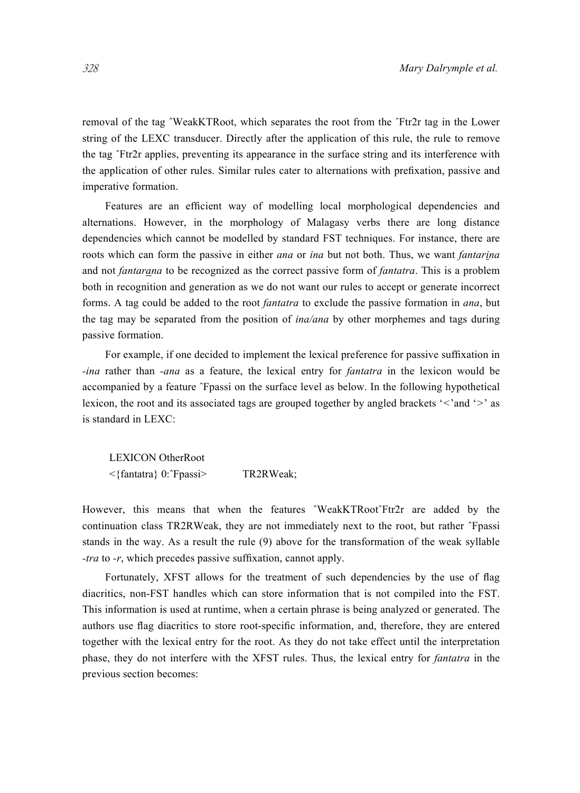removal of the tag ˆWeakKTRoot, which separates the root from the ˆFtr2r tag in the Lower string of the LEXC transducer. Directly after the application of this rule, the rule to remove the tag ˆFtr2r applies, preventing its appearance in the surface string and its interference with the application of other rules. Similar rules cater to alternations with prefixation, passive and imperative formation.

Features are an efficient way of modelling local morphological dependencies and alternations. However, in the morphology of Malagasy verbs there are long distance dependencies which cannot be modelled by standard FST techniques. For instance, there are roots which can form the passive in either *ana* or *ina* but not both. Thus, we want *fantarina*  and not *fantarana* to be recognized as the correct passive form of *fantatra*. This is a problem both in recognition and generation as we do not want our rules to accept or generate incorrect forms. A tag could be added to the root *fantatra* to exclude the passive formation in *ana*, but the tag may be separated from the position of *ina/ana* by other morphemes and tags during passive formation.

For example, if one decided to implement the lexical preference for passive suffixation in *-ina* rather than *-ana* as a feature, the lexical entry for *fantatra* in the lexicon would be accompanied by a feature ˆFpassi on the surface level as below. In the following hypothetical lexicon, the root and its associated tags are grouped together by angled brackets '*<*'and '*>*' as is standard in LEXC:

LEXICON OtherRoot <{fantatra} 0:ˆFpassi> TR2RWeak;

However, this means that when the features ^WeakKTRoot^Ftr2r are added by the continuation class TR2RWeak, they are not immediately next to the root, but rather ˆFpassi stands in the way. As a result the rule (9) above for the transformation of the weak syllable *-tra* to *-r*, which precedes passive suffixation, cannot apply.

Fortunately, XFST allows for the treatment of such dependencies by the use of flag diacritics, non-FST handles which can store information that is not compiled into the FST. This information is used at runtime, when a certain phrase is being analyzed or generated. The authors use flag diacritics to store root-specific information, and, therefore, they are entered together with the lexical entry for the root. As they do not take effect until the interpretation phase, they do not interfere with the XFST rules. Thus, the lexical entry for *fantatra* in the previous section becomes: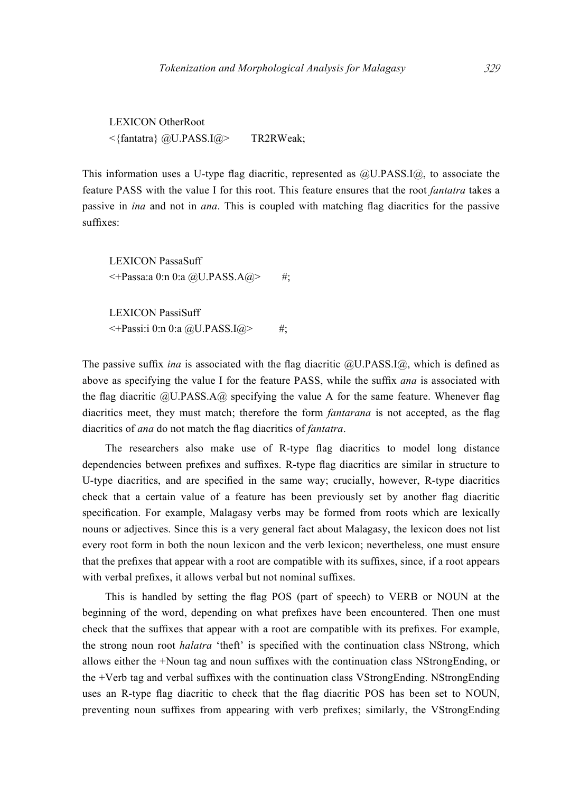LEXICON OtherRoot <{fantatra} @U.PASS.I@> TR2RWeak;

This information uses a U-type flag diacritic, represented as @U.PASS.I@, to associate the feature PASS with the value I for this root. This feature ensures that the root *fantatra* takes a passive in *ina* and not in *ana*. This is coupled with matching flag diacritics for the passive suffixes:

LEXICON PassaSuff  $\leq$ +Passa:a 0:n 0:a @U.PASS.A@> #;

LEXICON PassiSuff  $\leq$ +Passi:i 0:n 0:a @U.PASS.I@> #;

The passive suffix *ina* is associated with the flag diacritic @U.PASS.I@, which is defined as above as specifying the value I for the feature PASS, while the suffix *ana* is associated with the flag diacritic  $QU.PASS.AQ$  specifying the value A for the same feature. Whenever flag diacritics meet, they must match; therefore the form *fantarana* is not accepted, as the flag diacritics of *ana* do not match the flag diacritics of *fantatra*.

The researchers also make use of R-type flag diacritics to model long distance dependencies between prefixes and suffixes. R-type flag diacritics are similar in structure to U-type diacritics, and are specified in the same way; crucially, however, R-type diacritics check that a certain value of a feature has been previously set by another flag diacritic specification. For example, Malagasy verbs may be formed from roots which are lexically nouns or adjectives. Since this is a very general fact about Malagasy, the lexicon does not list every root form in both the noun lexicon and the verb lexicon; nevertheless, one must ensure that the prefixes that appear with a root are compatible with its suffixes, since, if a root appears with verbal prefixes, it allows verbal but not nominal suffixes.

This is handled by setting the flag POS (part of speech) to VERB or NOUN at the beginning of the word, depending on what prefixes have been encountered. Then one must check that the suffixes that appear with a root are compatible with its prefixes. For example, the strong noun root *halatra* 'theft' is specified with the continuation class NStrong, which allows either the +Noun tag and noun suffixes with the continuation class NStrongEnding, or the +Verb tag and verbal suffixes with the continuation class VStrongEnding. NStrongEnding uses an R-type flag diacritic to check that the flag diacritic POS has been set to NOUN, preventing noun suffixes from appearing with verb prefixes; similarly, the VStrongEnding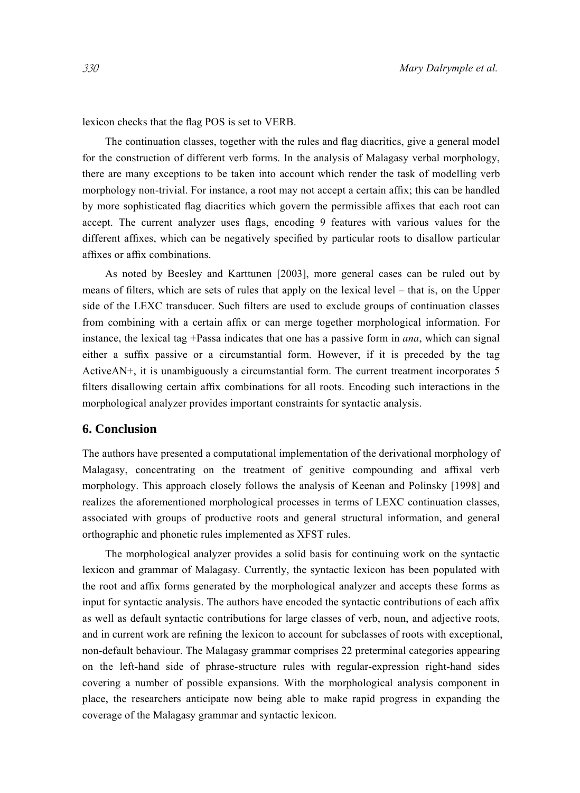lexicon checks that the flag POS is set to VERB.

The continuation classes, together with the rules and flag diacritics, give a general model for the construction of different verb forms. In the analysis of Malagasy verbal morphology, there are many exceptions to be taken into account which render the task of modelling verb morphology non-trivial. For instance, a root may not accept a certain affix; this can be handled by more sophisticated flag diacritics which govern the permissible affixes that each root can accept. The current analyzer uses flags, encoding 9 features with various values for the different affixes, which can be negatively specified by particular roots to disallow particular affixes or affix combinations.

As noted by Beesley and Karttunen [2003], more general cases can be ruled out by means of filters, which are sets of rules that apply on the lexical level – that is, on the Upper side of the LEXC transducer. Such filters are used to exclude groups of continuation classes from combining with a certain affix or can merge together morphological information. For instance, the lexical tag +Passa indicates that one has a passive form in *ana*, which can signal either a suffix passive or a circumstantial form. However, if it is preceded by the tag ActiveAN+, it is unambiguously a circumstantial form. The current treatment incorporates 5 filters disallowing certain affix combinations for all roots. Encoding such interactions in the morphological analyzer provides important constraints for syntactic analysis.

## **6. Conclusion**

The authors have presented a computational implementation of the derivational morphology of Malagasy, concentrating on the treatment of genitive compounding and affixal verb morphology. This approach closely follows the analysis of Keenan and Polinsky [1998] and realizes the aforementioned morphological processes in terms of LEXC continuation classes, associated with groups of productive roots and general structural information, and general orthographic and phonetic rules implemented as XFST rules.

The morphological analyzer provides a solid basis for continuing work on the syntactic lexicon and grammar of Malagasy. Currently, the syntactic lexicon has been populated with the root and affix forms generated by the morphological analyzer and accepts these forms as input for syntactic analysis. The authors have encoded the syntactic contributions of each affix as well as default syntactic contributions for large classes of verb, noun, and adjective roots, and in current work are refining the lexicon to account for subclasses of roots with exceptional, non-default behaviour. The Malagasy grammar comprises 22 preterminal categories appearing on the left-hand side of phrase-structure rules with regular-expression right-hand sides covering a number of possible expansions. With the morphological analysis component in place, the researchers anticipate now being able to make rapid progress in expanding the coverage of the Malagasy grammar and syntactic lexicon.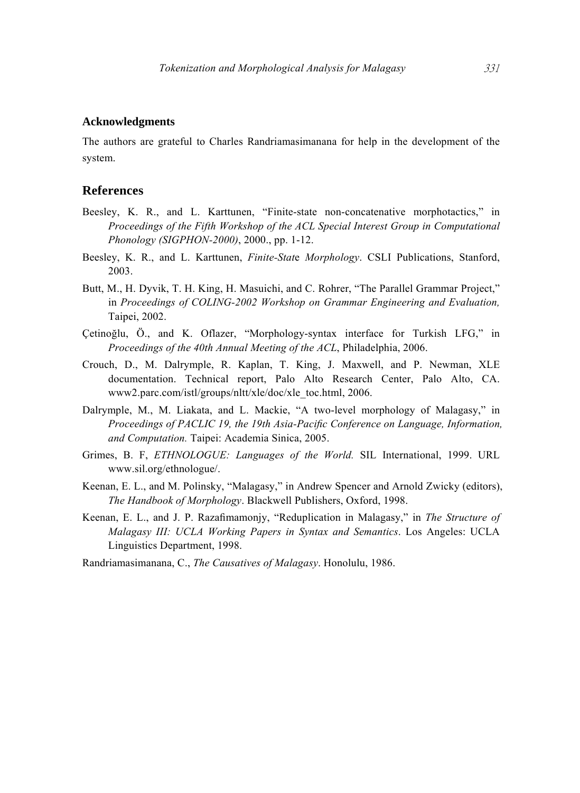#### **Acknowledgments**

The authors are grateful to Charles Randriamasimanana for help in the development of the system.

#### **References**

- Beesley, K. R., and L. Karttunen, "Finite-state non-concatenative morphotactics," in *Proceedings of the Fifth Workshop of the ACL Special Interest Group in Computational Phonology (SIGPHON-2000)*, 2000., pp. 1-12.
- Beesley, K. R., and L. Karttunen, *Finite-Stat*e *Morphology*. CSLI Publications, Stanford, 2003.
- Butt, M., H. Dyvik, T. H. King, H. Masuichi, and C. Rohrer, "The Parallel Grammar Project," in *Proceedings of COLING-2002 Workshop on Grammar Engineering and Evaluation,*  Taipei, 2002.
- Çetinoğlu, Ö., and K. Oflazer, "Morphology-syntax interface for Turkish LFG," in *Proceedings of the 40th Annual Meeting of the ACL*, Philadelphia, 2006.
- Crouch, D., M. Dalrymple, R. Kaplan, T. King, J. Maxwell, and P. Newman, XLE documentation. Technical report, Palo Alto Research Center, Palo Alto, CA. www2.parc.com/istl/groups/nltt/xle/doc/xle\_toc.html, 2006.
- Dalrymple, M., M. Liakata, and L. Mackie, "A two-level morphology of Malagasy," in *Proceedings of PACLIC 19, the 19th Asia-Pacific Conference on Language, Information, and Computation.* Taipei: Academia Sinica, 2005.
- Grimes, B. F, *ETHNOLOGUE: Languages of the World.* SIL International, 1999. URL www.sil.org/ethnologue/.
- Keenan, E. L., and M. Polinsky, "Malagasy," in Andrew Spencer and Arnold Zwicky (editors), *The Handbook of Morphology*. Blackwell Publishers, Oxford, 1998.
- Keenan, E. L., and J. P. Razafimamonjy, "Reduplication in Malagasy," in *The Structure of Malagasy III: UCLA Working Papers in Syntax and Semantics*. Los Angeles: UCLA Linguistics Department, 1998.
- Randriamasimanana, C., *The Causatives of Malagasy*. Honolulu, 1986.